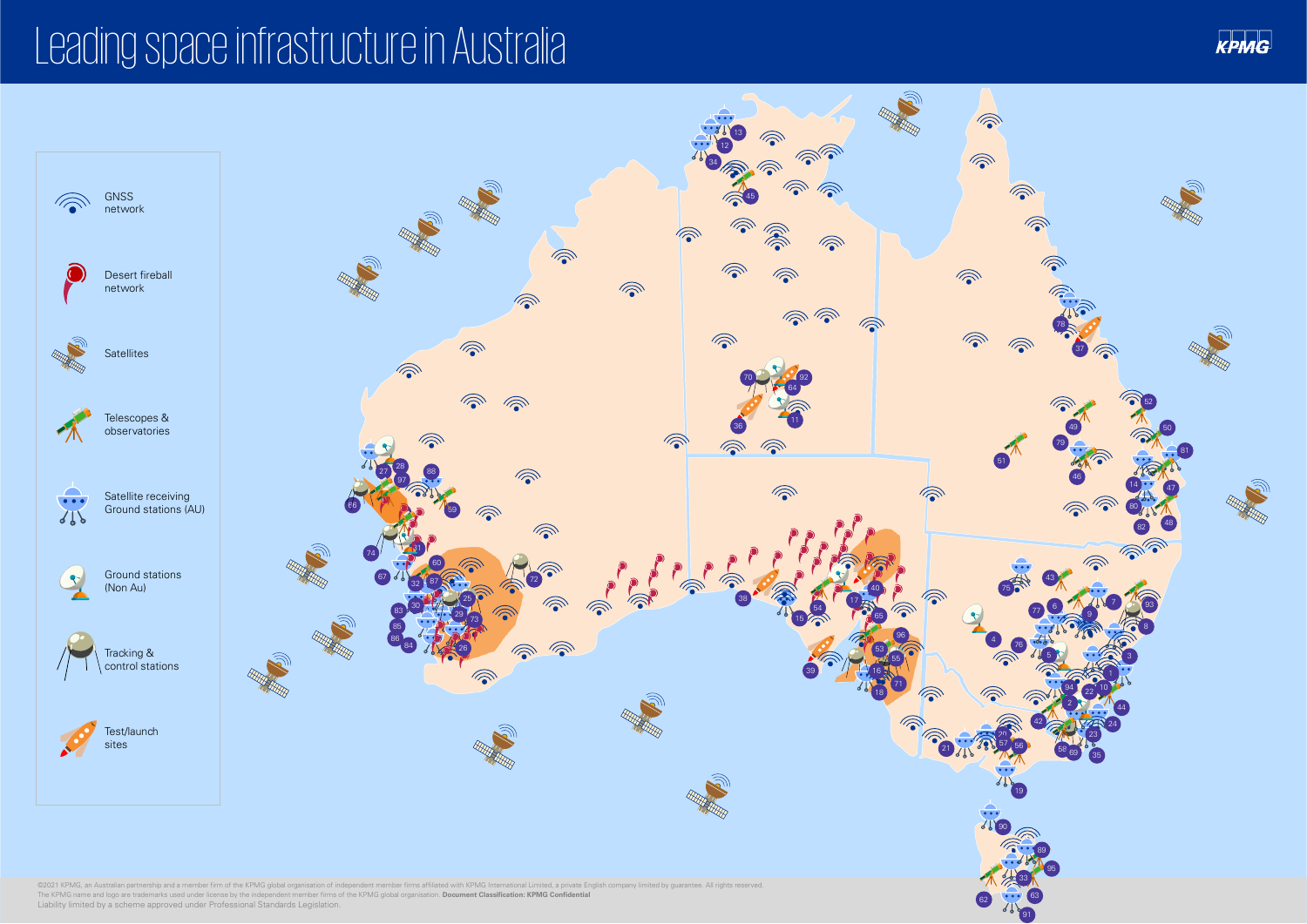# Leading space infrastructure in Australia



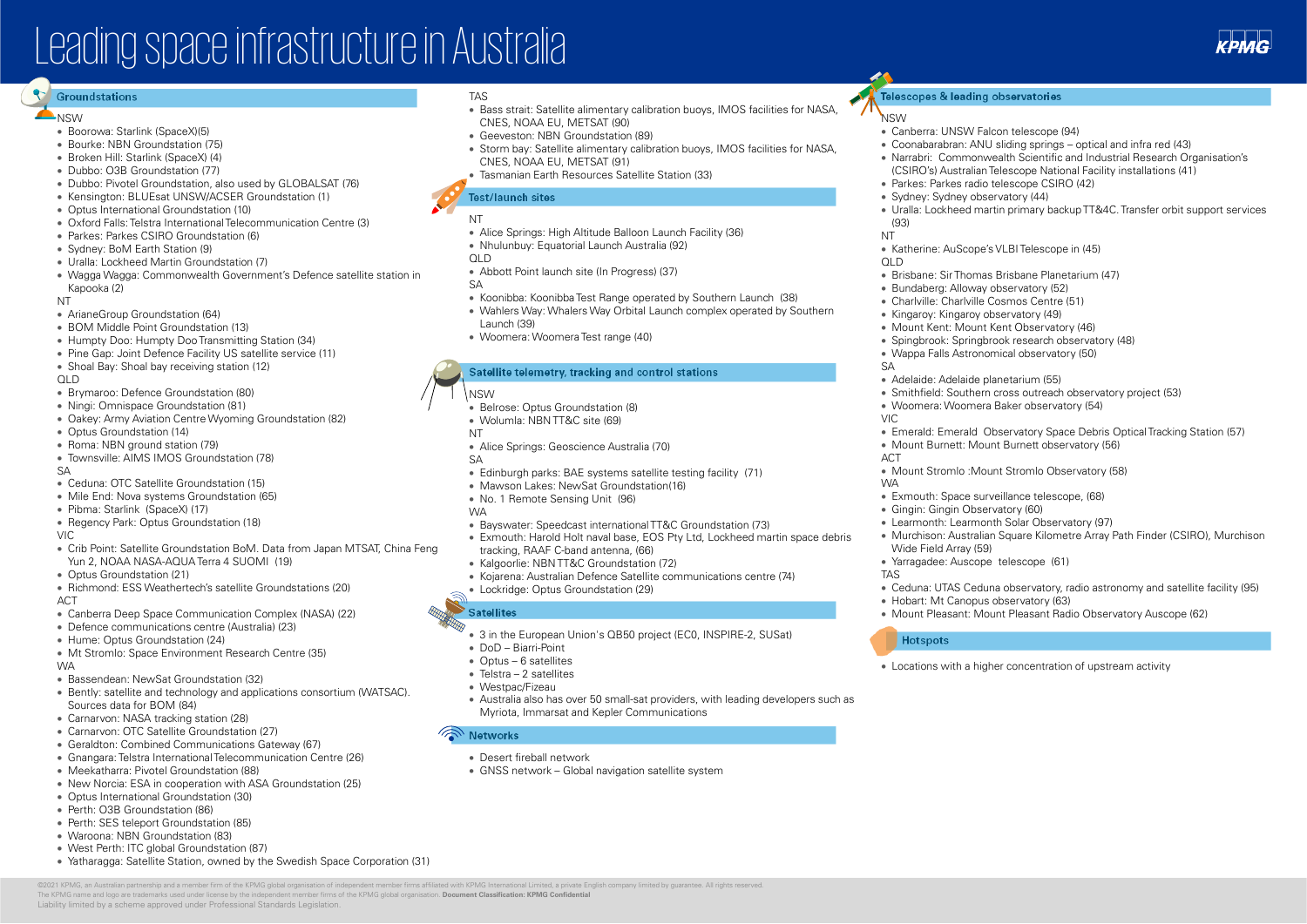# Leading space infrastructure in Australia

## **Groundstations**

### **A**NSW

- Boorowa: Starlink (SpaceX)(5)
- Bourke: NBN Groundstation (75)
- Broken Hill: Starlink (SpaceX) (4)
- Dubbo: O3B Groundstation (77)
- Dubbo: Pivotel Groundstation, also used by GLOBALSAT (76)
- Kensington: BLUEsat UNSW/ACSER Groundstation (1)
- Optus International Groundstation (10)
- Oxford Falls: Telstra International Telecommunication Centre (3)
- Parkes: Parkes CSIRO Groundstation (6)
- Sydney: BoM Earth Station (9)
- Uralla: Lockheed Martin Groundstation (7)
- Wagga Wagga: Commonwealth Government's Defence satellite station in Kapooka (2)

## NT

- ArianeGroup Groundstation (64)
- BOM Middle Point Groundstation (13)
- Humpty Doo: Humpty Doo Transmitting Station (34)
- Pine Gap: Joint Defence Facility US satellite service (11)
- Shoal Bay: Shoal bay receiving station (12)

## QLD

- Brymaroo: Defence Groundstation (80)
- Ningi: Omnispace Groundstation (81)
- Oakey: Army Aviation Centre Wyoming Groundstation (82)
- Optus Groundstation (14)
- Roma: NBN ground station (79)
- Townsville: AIMS IMOS Groundstation (78)

## SA

- Ceduna: OTC Satellite Groundstation (15)
- Mile End: Nova systems Groundstation (65)
- Pibma: Starlink (SpaceX) (17)
- Regency Park: Optus Groundstation (18)

#### VIC

- Crib Point: Satellite Groundstation BoM. Data from Japan MTSAT, China Feng Yun 2, NOAA NASA-AQUA Terra 4 SUOMI (19)
- Optus Groundstation (21)
- Richmond: ESS Weathertech's satellite Groundstations (20) ACT
- Canberra Deep Space Communication Complex (NASA) (22)
- Defence communications centre (Australia) (23)
- Hume: Optus Groundstation (24)
- Mt Stromlo: Space Environment Research Centre (35) WA
- Bassendean: NewSat Groundstation (32)
- Bently: satellite and technology and applications consortium (WATSAC). Sources data for BOM (84)
- Carnarvon: NASA tracking station (28)
- Carnarvon: OTC Satellite Groundstation (27)
- Geraldton: Combined Communications Gateway (67)

Liability limited by a scheme approved under Professional Standards Legislation.

- Gnangara: Telstra International Telecommunication Centre (26)
- Meekatharra: Pivotel Groundstation (88)
- New Norcia: ESA in cooperation with ASA Groundstation (25)
- Optus International Groundstation (30)
- Perth: O3B Groundstation (86)
- Perth: SES teleport Groundstation (85)
- Waroona: NBN Groundstation (83)
- West Perth: ITC global Groundstation (87)
- Yatharagga: Satellite Station, owned by the Swedish Space Corporation (31)

### TAS

- Bass strait: Satellite alimentary calibration buoys, IMOS facilities for NASA, CNES, NOAA EU, METSAT (90)
- Geeveston: NBN Groundstation (89)
- Storm bay: Satellite alimentary calibration buoys, IMOS facilities for NASA, CNES, NOAA EU, METSAT (91)
- Tasmanian Earth Resources Satellite Station (33)

## **Test/launch sites**

## NT

- Alice Springs: High Altitude Balloon Launch Facility (36)
- Nhulunbuy: Equatorial Launch Australia (92)
- QLD
- Abbott Point launch site (In Progress) (37)
- $S_A$
- Koonibba: KoonibbaTest Range operated by Southern Launch (38)
- Wahlers Way: Whalers Way Orbital Launch complex operated by Southern Launch (39)
- Woomera: Woomera Test range (40)

## **Satellite telemetry, tracking and control stations**

NSW

- Belrose: Optus Groundstation (8)
- Wolumla: NBN TT&C site (69)
- NT
- Alice Springs: Geoscience Australia (70)
- SA
- Edinburgh parks: BAE systems satellite testing facility (71)
- Mawson Lakes: NewSat Groundstation(16)
- No. 1 Remote Sensing Unit (96)
- WA
- Bayswater: Speedcast international TT&C Groundstation (73)
- Exmouth: Harold Holt naval base, EOS Pty Ltd, Lockheed martin space debris tracking, RAAF C-band antenna, (66)
- Kalgoorlie: NBN TT&C Groundstation (72)
- Kojarena: Australian Defence Satellite communications centre (74)
- Lockridge: Optus Groundstation (29)

## **Satellites**

• 3 in the European Union's QB50 project (EC0, INSPIRE-2, SUSat)

#### • DoD – Biarri-Point

- Optus 6 satellites
- Telstra 2 satellites
- Westpac/Fizeau
- Australia also has over 50 small-sat providers, with leading developers such as Myriota, Immarsat and Kepler Communications

## **Networks**

@2021 KPMG an Australian pertherebin and a member firm of the KPMG global creanisation of independent member firms affiliated with KPMG International Limited a private English company limited by quarantee. All rights re

The KPMG name and logo are trademarks used under license by the independent member firms of the KPMG global organisation. **Document Classification: KPMG Confidential**

- Desert fireball network
- GNSS network Global navigation satellite system

## **Telescopes & leading observatories**

## **NSW**

(93) NT

 $\cap$  D

SA

VIC

ACT

WA

TAS

• Canberra: UNSW Falcon telescope (94)

• Parkes: Parkes radio telescope CSIRO (42) • Sydney: Sydney observatory (44)

• Katherine: AuScope's VLBI Telescope in (45)

• Adelaide: Adelaide planetarium (55)

• Woomera: Woomera Baker observatory (54)

• Mount Burnett: Mount Burnett observatory (56)

• Mount Stromlo :Mount Stromlo Observatory (58)

• Exmouth: Space surveillance telescope, (68)

• Learmonth: Learmonth Solar Observatory (97)

• Gingin: Gingin Observatory (60)

• Yarragadee: Auscope telescope (61)

• Hobart: Mt Canopus observatory (63)

Wide Field Array (59)

**Hotspots**

• Brisbane: Sir Thomas Brisbane Planetarium (47) • Bundaberg: Alloway observatory (52) • Charlville: Charlville Cosmos Centre (51) • Kingaroy: Kingaroy observatory (49) • Mount Kent: Mount Kent Observatory (46) • Spingbrook: Springbrook research observatory (48) • Wappa Falls Astronomical observatory (50)

• Smithfield: Southern cross outreach observatory project (53)

• Emerald: Emerald Observatory Space Debris Optical Tracking Station (57)

• Murchison: Australian Square Kilometre Array Path Finder (CSIRO), Murchison

• Ceduna: UTAS Ceduna observatory, radio astronomy and satellite facility (95)

• Mount Pleasant: Mount Pleasant Radio Observatory Auscope (62)

• Locations with a higher concentration of upstream activity

• Coonabarabran: ANU sliding springs – optical and infra red (43) (CSIRO's) Australian Telescope National Facility installations (41)

• Narrabri: Commonwealth Scientific and Industrial Research Organisation's

• Uralla: Lockheed martin primary backup TT&4C. Transfer orbit support services